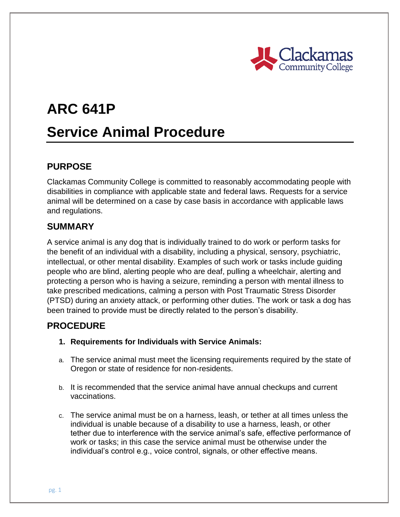

# **ARC 641P Service Animal Procedure**

## **PURPOSE**

Clackamas Community College is committed to reasonably accommodating people with disabilities in compliance with applicable state and federal laws. Requests for a service animal will be determined on a case by case basis in accordance with applicable laws and regulations.

## **SUMMARY**

A service animal is any dog that is individually trained to do work or perform tasks for the benefit of an individual with a disability, including a physical, sensory, psychiatric, intellectual, or other mental disability. Examples of such work or tasks include guiding people who are blind, alerting people who are deaf, pulling a wheelchair, alerting and protecting a person who is having a seizure, reminding a person with mental illness to take prescribed medications, calming a person with Post Traumatic Stress Disorder (PTSD) during an anxiety attack, or performing other duties. The work or task a dog has been trained to provide must be directly related to the person's disability.

## **PROCEDURE**

- **1. Requirements for Individuals with Service Animals:**
- a. The service animal must meet the licensing requirements required by the state of Oregon or state of residence for non-residents.
- b. It is recommended that the service animal have annual checkups and current vaccinations.
- c. The service animal must be on a harness, leash, or tether at all times unless the individual is unable because of a disability to use a harness, leash, or other tether due to interference with the service animal's safe, effective performance of work or tasks; in this case the service animal must be otherwise under the individual's control e.g., voice control, signals, or other effective means.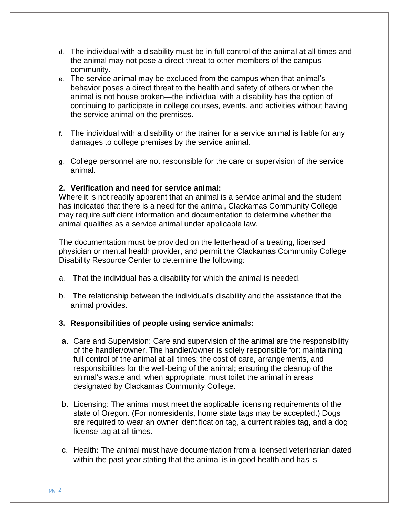- d. The individual with a disability must be in full control of the animal at all times and the animal may not pose a direct threat to other members of the campus community.
- e. The service animal may be excluded from the campus when that animal's behavior poses a direct threat to the health and safety of others or when the animal is not house broken—the individual with a disability has the option of continuing to participate in college courses, events, and activities without having the service animal on the premises.
- f. The individual with a disability or the trainer for a service animal is liable for any damages to college premises by the service animal.
- g. College personnel are not responsible for the care or supervision of the service animal.

#### **2. Verification and need for service animal:**

Where it is not readily apparent that an animal is a service animal and the student has indicated that there is a need for the animal, Clackamas Community College may require sufficient information and documentation to determine whether the animal qualifies as a service animal under applicable law.

The documentation must be provided on the letterhead of a treating, licensed physician or mental health provider, and permit the Clackamas Community College Disability Resource Center to determine the following:

- a. That the individual has a disability for which the animal is needed.
- b. The relationship between the individual's disability and the assistance that the animal provides.

#### **3. Responsibilities of people using service animals:**

- a. Care and Supervision: Care and supervision of the animal are the responsibility of the handler/owner. The handler/owner is solely responsible for: maintaining full control of the animal at all times; the cost of care, arrangements, and responsibilities for the well-being of the animal; ensuring the cleanup of the animal's waste and, when appropriate, must toilet the animal in areas designated by Clackamas Community College.
- b. Licensing: The animal must meet the applicable licensing requirements of the state of Oregon. (For nonresidents, home state tags may be accepted.) Dogs are required to wear an owner identification tag, a current rabies tag, and a dog license tag at all times.
- c. Health**:** The animal must have documentation from a licensed veterinarian dated within the past year stating that the animal is in good health and has is